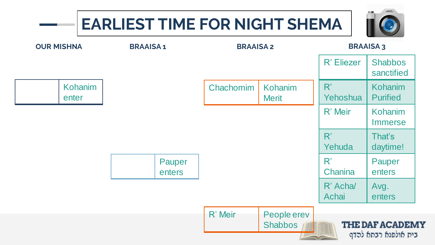# **EARLIEST TIME FOR NIGHT SHEMA**



| <b>OUR MISHNA</b> |                  | <b>BRAAISA1</b>  | <b>BRAAISA2</b> |                               | <b>BRAAISA3</b>  |                              |
|-------------------|------------------|------------------|-----------------|-------------------------------|------------------|------------------------------|
|                   |                  |                  |                 |                               | R' Eliezer       | <b>Shabbos</b><br>sanctified |
|                   | Kohanim<br>enter |                  | Chachomim       | Kohanim<br><b>Merit</b>       | R'<br>Yehoshua   | Kohanim<br><b>Purified</b>   |
|                   |                  |                  |                 |                               | R' Meir          | Kohanim<br><b>Immerse</b>    |
|                   |                  |                  |                 |                               | R'<br>Yehuda     | That's<br>daytime!           |
|                   |                  | Pauper<br>enters |                 |                               | R'<br>Chanina    | Pauper<br>enters             |
|                   |                  |                  |                 |                               | R' Acha<br>Achai | Avg.<br>enters               |
|                   |                  |                  | R' Meir         | People erev<br><b>Shabbos</b> |                  | <b>THE DAF ACADEM</b>        |
|                   |                  |                  |                 |                               |                  | בית אולפנא רבתא להדף         |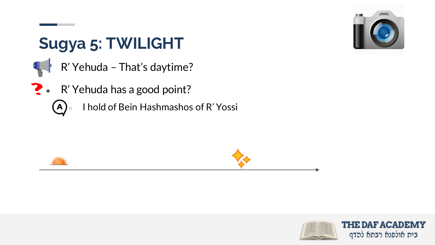

## **Sugya 5: TWILIGHT**

- R' Yehuda That's daytime?
- ? R' Yehuda has a good point?
	- I hold of Bein Hashmashos of R' Yossi $(A)$





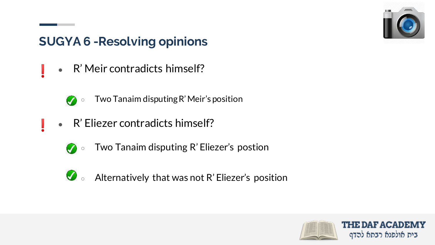

#### **SUGYA 6 -Resolving opinions**

R' Meir contradicts himself?



- Two Tanaim disputing R' Meir's position
- R' Eliezer contradicts himself?
	- Two Tanaim disputing R' Eliezer's postion  $\bullet$
	- $\bigcirc$   $\bullet$  Alternatively that was not R' Eliezer's position

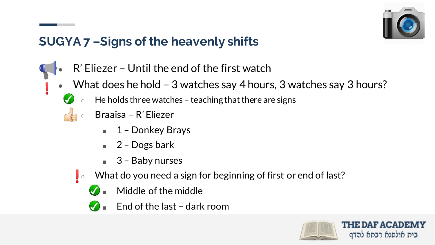

#### **SUGYA 7 –Signs of the heavenly shifts**

- $R'$  Eliezer Until the end of the first watch
- What does he hold 3 watches say 4 hours, 3 watches say 3 hours?
	- He holds three watches teaching that there are signs
	- Braaisa R' Eliezer
		- 1 Donkey Brays
		- $\blacksquare$  2 Dogs bark
		- 3 Baby nurses
	- $\blacksquare$   $\triangleright$  What do you need a sign for beginning of first or end of last?
		- Middle of the middle
		- $\blacksquare$  End of the last dark room

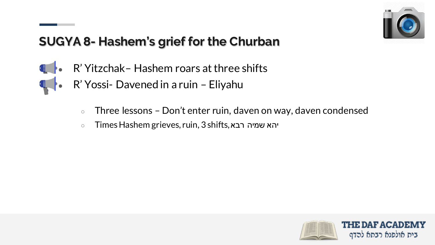

#### **SUGYA 8- Hashem's grief for the Churban**

- **4** R' Yitzchak Hashem roars at three shifts
	- R' Yossi- Davened in a ruin Eliyahu
		- $\circ$  Three lessons Don't enter ruin, daven on way, daven condensed
		- Times Hashem grieves, ruin, 3 shifts, רבא שמיה יהא

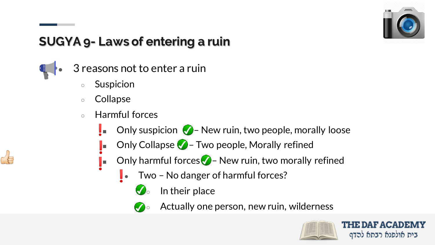

### **SUGYA 9- Laws of entering a ruin**

- 3 reasons not to enter a ruin
	- **Suspicion**
	- Collapse
	- Harmful forces
		- **DENUSION 2** New ruin, two people, morally loose
		- Only Collapse  $\bigtriangledown$  Two people, Morally refined
		- $\Box$  Only harmful forces $\Diamond$  New ruin, two morally refined
			- Two No danger of harmful forces?
				- $\bigcirc$  In their place
					- Actually one person, new ruin, wilderness